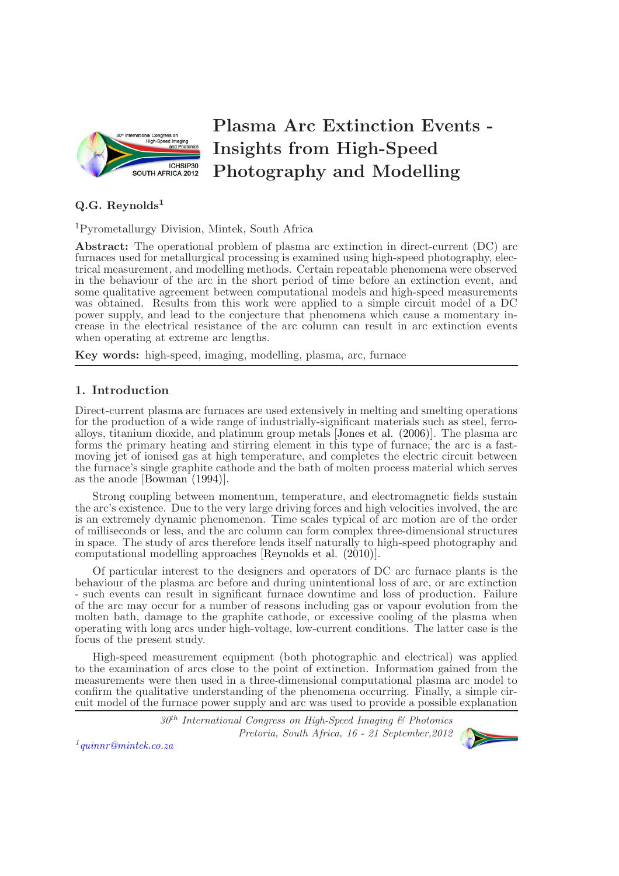

# Plasma Arc Extinction Events - Insights from High-Speed Photography and Modelling

## $Q.G.$  Reynolds<sup>1</sup>

<sup>1</sup>Pyrometallurgy Division, Mintek, South Africa

Abstract: The operational problem of plasma arc extinction in direct-current (DC) arc furnaces used for metallurgical processing is examined using high-speed photography, electrical measurement, and modelling methods. Certain repeatable phenomena were observed in the behaviour of the arc in the short period of time before an extinction event, and some qualitative agreement between computational models and high-speed measurements was obtained. Results from this work were applied to a simple circuit model of a DC power supply, and lead to the conjecture that phenomena which cause a momentary increase in the electrical resistance of the arc column can result in arc extinction events when operating at extreme arc lengths.

Key words: high-speed, imaging, modelling, plasma, arc, furnace

### 1. Introduction

Direct-current plasma arc furnaces are used extensively in melting and smelting operations for the production of a wide range of industrially-significant materials such as steel, ferroalloys, titanium dioxide, and platinum group metals [Jones et al. (2006)]. The plasma arc forms the primary heating and stirring element in this type of furnace; the arc is a fastmoving jet of ionised gas at high temperature, and completes the electric circuit between the furnace's single graphite cathode and the bath of molten process material which serves as the anode [Bowman (1994)].

Strong coupling between momentum, temperature, and electromagnetic fields sustain the arc's existence. Due to the very large driving forces and high velocities involved, the arc is an extremely dynamic phenomenon. Time scales typical of arc motion are of the order of milliseconds or less, and the arc column can form complex three-dimensional structures in space. The study of arcs therefore lends itself naturally to high-speed photography and computational modelling approaches [Reynolds et al. (2010)].

Of particular interest to the designers and operators of DC arc furnace plants is the behaviour of the plasma arc before and during unintentional loss of arc, or arc extinction - such events can result in significant furnace downtime and loss of production. Failure of the arc may occur for a number of reasons including gas or vapour evolution from the molten bath, damage to the graphite cathode, or excessive cooling of the plasma when operating with long arcs under high-voltage, low-current conditions. The latter case is the focus of the present study.

High-speed measurement equipment (both photographic and electrical) was applied to the examination of arcs close to the point of extinction. Information gained from the measurements were then used in a three-dimensional computational plasma arc model to confirm the qualitative understanding of the phenomena occurring. Finally, a simple circuit model of the furnace power supply and arc was used to provide a possible explanation

> $30^{th}$  International Congress on High-Speed Imaging  $\mathcal C$  Photonics Pretoria, South Africa, 16 - 21 September,2012



1 [quinnr@mintek.co.za](mailto:quinnr@mintek.co.za)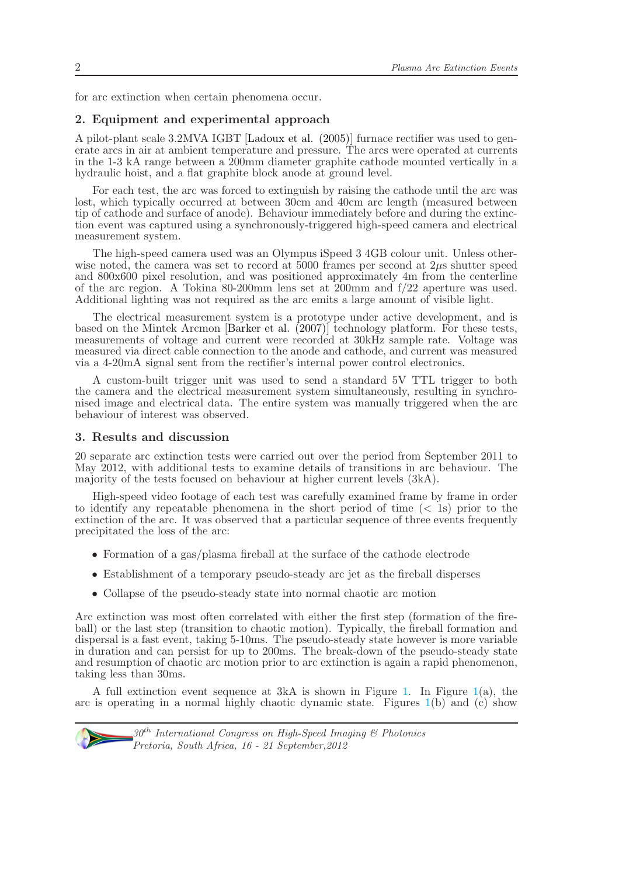for arc extinction when certain phenomena occur.

#### 2. Equipment and experimental approach

A pilot-plant scale 3.2MVA IGBT [Ladoux et al. (2005)] furnace rectifier was used to generate arcs in air at ambient temperature and pressure. The arcs were operated at currents in the 1-3 kA range between a 200mm diameter graphite cathode mounted vertically in a hydraulic hoist, and a flat graphite block anode at ground level.

For each test, the arc was forced to extinguish by raising the cathode until the arc was lost, which typically occurred at between  $30cm$  and  $40cm$  arc length (measured between tip of cathode and surface of anode). Behaviour immediately before and during the extinction event was captured using a synchronously-triggered high-speed camera and electrical measurement system.

The high-speed camera used was an Olympus iSpeed 3 4GB colour unit. Unless otherwise noted, the camera was set to record at 5000 frames per second at  $2\mu s$  shutter speed and 800x600 pixel resolution, and was positioned approximately 4m from the centerline of the arc region. A Tokina 80-200mm lens set at 200mm and f/22 aperture was used. Additional lighting was not required as the arc emits a large amount of visible light.

The electrical measurement system is a prototype under active development, and is based on the Mintek Arcmon [Barker et al. (2007)] technology platform. For these tests, measurements of voltage and current were recorded at 30kHz sample rate. Voltage was measured via direct cable connection to the anode and cathode, and current was measured via a 4-20mA signal sent from the rectifier's internal power control electronics.

A custom-built trigger unit was used to send a standard 5V TTL trigger to both the camera and the electrical measurement system simultaneously, resulting in synchronised image and electrical data. The entire system was manually triggered when the arc behaviour of interest was observed.

#### <span id="page-1-0"></span>3. Results and discussion

20 separate arc extinction tests were carried out over the period from September 2011 to May 2012, with additional tests to examine details of transitions in arc behaviour. The majority of the tests focused on behaviour at higher current levels (3kA).

High-speed video footage of each test was carefully examined frame by frame in order to identify any repeatable phenomena in the short period of time  $( $1$ s) prior to the$ extinction of the arc. It was observed that a particular sequence of three events frequently precipitated the loss of the arc:

- Formation of a gas/plasma fireball at the surface of the cathode electrode
- Establishment of a temporary pseudo-steady arc jet as the fireball disperses
- Collapse of the pseudo-steady state into normal chaotic arc motion

Arc extinction was most often correlated with either the first step (formation of the fireball) or the last step (transition to chaotic motion). Typically, the fireball formation and dispersal is a fast event, taking 5-10ms. The pseudo-steady state however is more variable in duration and can persist for up to 200ms. The break-down of the pseudo-steady state and resumption of chaotic arc motion prior to arc extinction is again a rapid phenomenon, taking less than 30ms.

A full extinction event sequence at  $3kA$  is shown in Figure [1.](#page-1-0) In Figure [1\(](#page-1-0)a), the arc is operating in a normal highly chaotic dynamic state. Figures  $1(b)$  $1(b)$  and (c) show

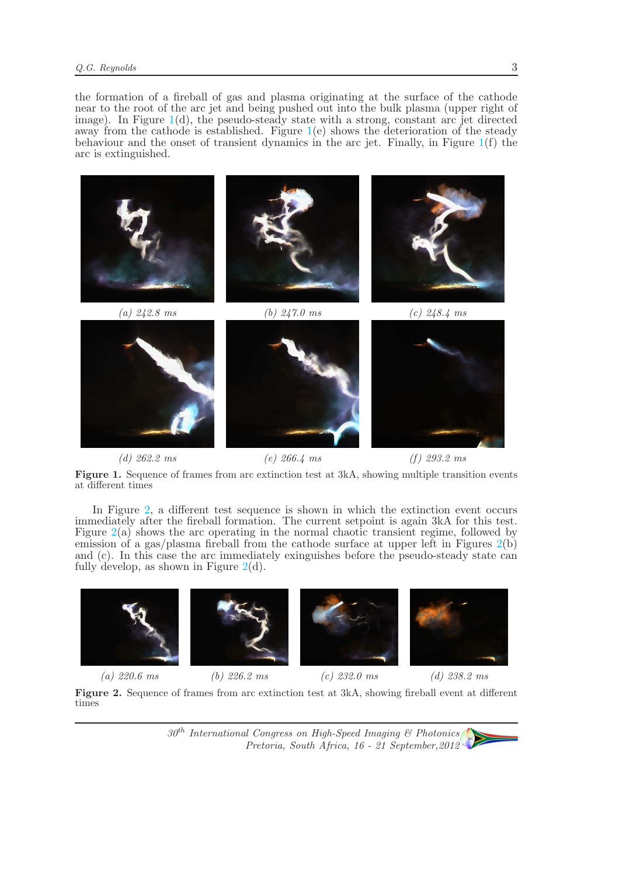the formation of a fireball of gas and plasma originating at the surface of the cathode near to the root of the arc jet and being pushed out into the bulk plasma (upper right of image). In Figure  $1(d)$  $1(d)$ , the pseudo-steady state with a strong, constant arc jet directed away from the cathode is established. Figure  $1(e)$  $1(e)$  shows the deterioration of the steady behaviour and the onset of transient dynamics in the arc jet. Finally, in Figure [1\(](#page-1-0)f) the arc is extinguished.



(d)  $262.2 \text{ ms}$  (e)  $266.4 \text{ ms}$  (f)  $293.2 \text{ ms}$ 

Figure 1. Sequence of frames from arc extinction test at 3kA, showing multiple transition events at different times

In Figure [2,](#page-1-0) a different test sequence is shown in which the extinction event occurs immediately after the fireball formation. The current setpoint is again 3kA for this test. Figure [2\(](#page-1-0)a) shows the arc operating in the normal chaotic transient regime, followed by emission of a gas/plasma fireball from the cathode surface at upper left in Figures [2\(](#page-1-0)b) and (c). In this case the arc immediately exinguishes before the pseudo-steady state can fully develop, as shown in Figure  $2(d)$  $2(d)$ .



Figure 2. Sequence of frames from arc extinction test at 3kA, showing fireball event at different times

> $30<sup>th</sup> International Congress on High-Speed Imaging & Photonics$ Pretoria, South Africa, 16 - 21 September,2012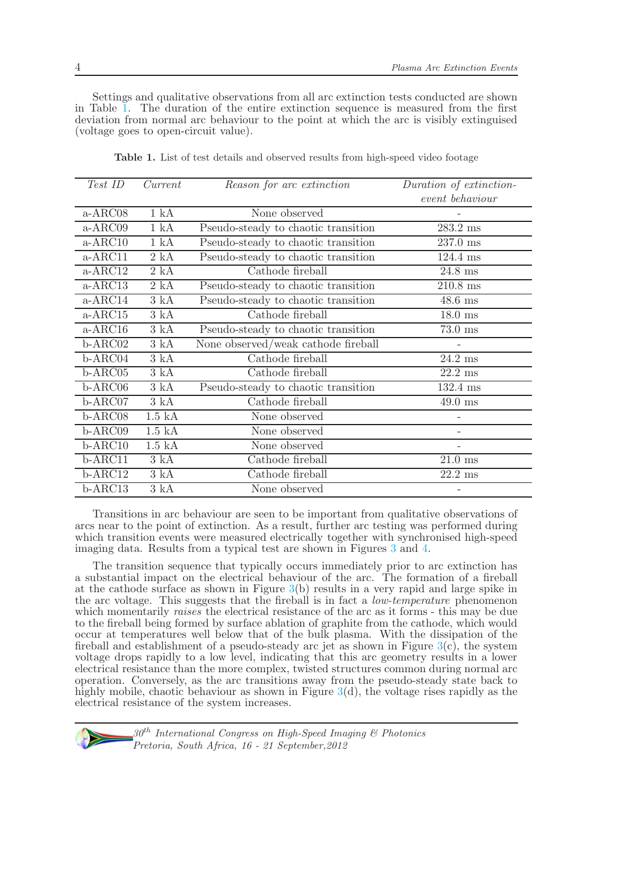Settings and qualitative observations from all arc extinction tests conducted are shown in Table [1.](#page-1-0) The duration of the entire extinction sequence is measured from the first deviation from normal arc behaviour to the point at which the arc is visibly extinguised (voltage goes to open-circuit value).

| Test ID   | Current            | Reason for arc extinction           | Duration of extinction- |
|-----------|--------------------|-------------------------------------|-------------------------|
|           |                    |                                     | event behaviour         |
| a-ARC08   | 1 kA               | None observed                       |                         |
| a-ARC09   | 1 kA               | Pseudo-steady to chaotic transition | $283.2 \text{ ms}$      |
| $a-ARC10$ | 1 kA               | Pseudo-steady to chaotic transition | $237.0$ ms              |
| $a-ARC11$ | 2 kA               | Pseudo-steady to chaotic transition | $124.4$ ms              |
| $a-ABC12$ | 2 kA               | Cathode fireball                    | $24.8$ ms               |
| a-ARC13   | 2 kA               | Pseudo-steady to chaotic transition | $210.8$ ms              |
| $a-ARC14$ | 3 kA               | Pseudo-steady to chaotic transition | $48.6$ ms               |
| $a-ARC15$ | 3 kA               | Cathode fireball                    | $18.0$ ms               |
| $a-ARC16$ | 3 kA               | Pseudo-steady to chaotic transition | $73.0$ ms               |
| b-ARC02   | 3 kA               | None observed/weak cathode fireball |                         |
| b-ARC04   | 3 kA               | Cathode fireball                    | $24.2 \text{ ms}$       |
| $b-ARCO5$ | 3 kA               | Cathode fireball                    | $22.2 \text{ ms}$       |
| $b-ARCO6$ | 3 kA               | Pseudo-steady to chaotic transition | $132.4$ ms              |
| $b-ABC07$ | 3 kA               | Cathode fireball                    | $49.0 \text{ ms}$       |
| b-ARC08   | $1.5\ \mathrm{kA}$ | None observed                       |                         |
| b-ARC09   | $1.5\ \mathrm{kA}$ | None observed                       |                         |
| $b-ARC10$ | $1.5\ \mathrm{kA}$ | None observed                       |                         |
| $b-ABC11$ | 3 kA               | Cathode fireball                    | $21.0 \text{ ms}$       |
| $b-ARC12$ | 3 kA               | Cathode fireball                    | $22.2~\mathrm{ms}$      |
| $b-ARC13$ | 3 kA               | None observed                       |                         |

Table 1. List of test details and observed results from high-speed video footage

Transitions in arc behaviour are seen to be important from qualitative observations of arcs near to the point of extinction. As a result, further arc testing was performed during which transition events were measured electrically together with synchronised high-speed imaging data. Results from a typical test are shown in Figures [3](#page-1-0) and [4.](#page-1-0)

The transition sequence that typically occurs immediately prior to arc extinction has a substantial impact on the electrical behaviour of the arc. The formation of a fireball at the cathode surface as shown in Figure  $3(b)$  $3(b)$  results in a very rapid and large spike in the arc voltage. This suggests that the fireball is in fact a *low-temperature* phenomenon which momentarily raises the electrical resistance of the arc as it forms - this may be due to the fireball being formed by surface ablation of graphite from the cathode, which would occur at temperatures well below that of the bulk plasma. With the dissipation of the fireball and establishment of a pseudo-steady arc jet as shown in Figure  $3(c)$  $3(c)$ , the system voltage drops rapidly to a low level, indicating that this arc geometry results in a lower electrical resistance than the more complex, twisted structures common during normal arc operation. Conversely, as the arc transitions away from the pseudo-steady state back to highly mobile, chaotic behaviour as shown in Figure  $3(d)$  $3(d)$ , the voltage rises rapidly as the electrical resistance of the system increases.

 $30<sup>th</sup> International Congress on High-Speed Imaging & Photonics$ Pretoria, South Africa, 16 - 21 September,2012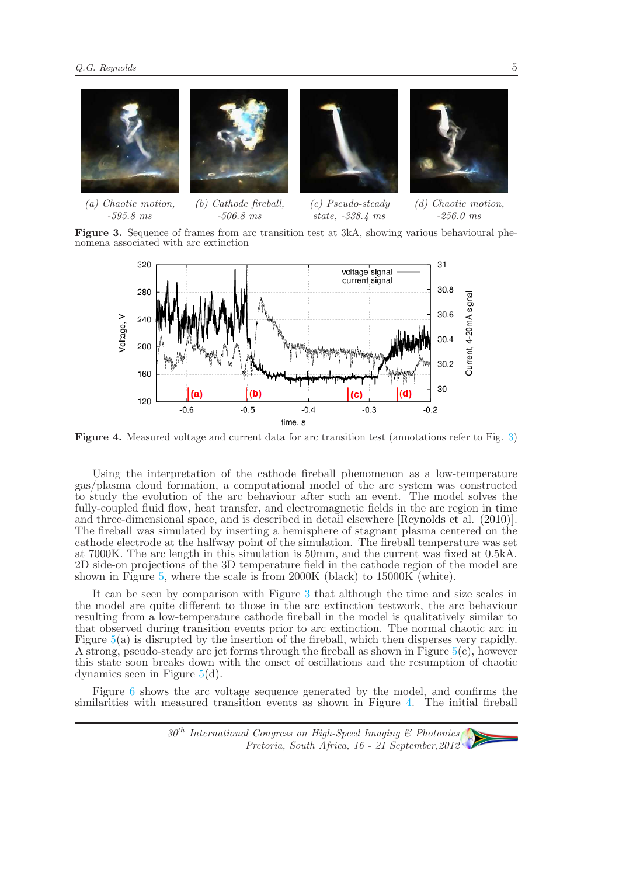

(a) Chaotic motion, -595.8 ms (b) Cathode fireball, -506.8 ms (c) Pseudo-steady state, -338.4 ms (d) Chaotic motion, -256.0 ms

Figure 3. Sequence of frames from arc transition test at 3kA, showing various behavioural phenomena associated with arc extinction



Figure 4. Measured voltage and current data for arc transition test (annotations refer to Fig. [3\)](#page-1-0)

Using the interpretation of the cathode fireball phenomenon as a low-temperature gas/plasma cloud formation, a computational model of the arc system was constructed to study the evolution of the arc behaviour after such an event. The model solves the fully-coupled fluid flow, heat transfer, and electromagnetic fields in the arc region in time and three-dimensional space, and is described in detail elsewhere [Reynolds et al. (2010)]. The fireball was simulated by inserting a hemisphere of stagnant plasma centered on the cathode electrode at the halfway point of the simulation. The fireball temperature was set at 7000K. The arc length in this simulation is 50mm, and the current was fixed at 0.5kA. 2D side-on projections of the 3D temperature field in the cathode region of the model are shown in Figure [5,](#page-1-0) where the scale is from 2000K (black) to 15000K (white).

It can be seen by comparison with Figure [3](#page-1-0) that although the time and size scales in the model are quite different to those in the arc extinction testwork, the arc behaviour resulting from a low-temperature cathode fireball in the model is qualitatively similar to that observed during transition events prior to arc extinction. The normal chaotic arc in Figure [5\(](#page-1-0)a) is disrupted by the insertion of the fireball, which then disperses very rapidly. A strong, pseudo-steady arc jet forms through the fireball as shown in Figure  $5(c)$  $5(c)$ , however this state soon breaks down with the onset of oscillations and the resumption of chaotic dynamics seen in Figure [5\(](#page-1-0)d).

Figure [6](#page-1-0) shows the arc voltage sequence generated by the model, and confirms the similarities with measured transition events as shown in Figure [4.](#page-1-0) The initial fireball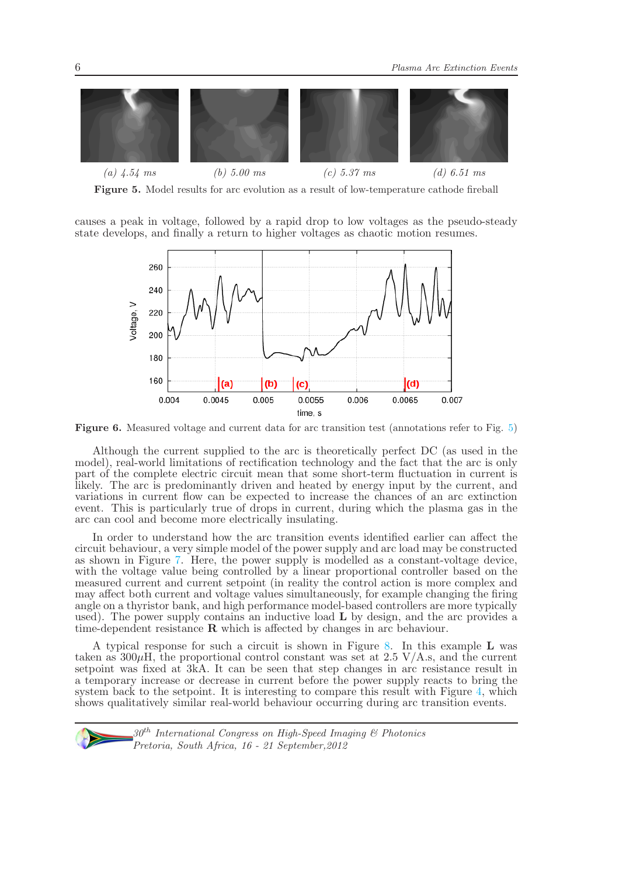

Figure 5. Model results for arc evolution as a result of low-temperature cathode fireball

causes a peak in voltage, followed by a rapid drop to low voltages as the pseudo-steady state develops, and finally a return to higher voltages as chaotic motion resumes.



Figure 6. Measured voltage and current data for arc transition test (annotations refer to Fig. [5\)](#page-1-0)

Although the current supplied to the arc is theoretically perfect DC (as used in the model), real-world limitations of rectification technology and the fact that the arc is only part of the complete electric circuit mean that some short-term fluctuation in current is likely. The arc is predominantly driven and heated by energy input by the current, and variations in current flow can be expected to increase the chances of an arc extinction event. This is particularly true of drops in current, during which the plasma gas in the arc can cool and become more electrically insulating.

In order to understand how the arc transition events identified earlier can affect the circuit behaviour, a very simple model of the power supply and arc load may be constructed as shown in Figure [7.](#page-1-0) Here, the power supply is modelled as a constant-voltage device, with the voltage value being controlled by a linear proportional controller based on the measured current and current setpoint (in reality the control action is more complex and may affect both current and voltage values simultaneously, for example changing the firing angle on a thyristor bank, and high performance model-based controllers are more typically used). The power supply contains an inductive load  $L$  by design, and the arc provides a time-dependent resistance R which is affected by changes in arc behaviour.

A typical response for such a circuit is shown in Figure [8.](#page-1-0) In this example L was taken as  $300\mu$ H, the proportional control constant was set at 2.5 V/A.s, and the current setpoint was fixed at 3kA. It can be seen that step changes in arc resistance result in a temporary increase or decrease in current before the power supply reacts to bring the system back to the setpoint. It is interesting to compare this result with Figure [4,](#page-1-0) which shows qualitatively similar real-world behaviour occurring during arc transition events.

 $30<sup>th</sup> International Congress on High-Speed Imaging & Photonics$ Pretoria, South Africa, 16 - 21 September,2012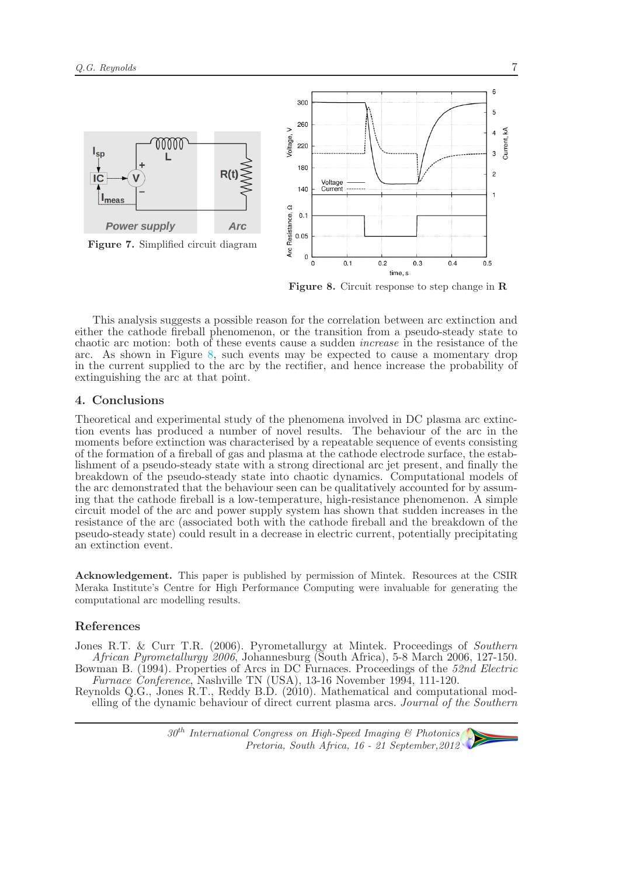

Figure 8. Circuit response to step change in R

This analysis suggests a possible reason for the correlation between arc extinction and either the cathode fireball phenomenon, or the transition from a pseudo-steady state to chaotic arc motion: both of these events cause a sudden increase in the resistance of the arc. As shown in Figure [8,](#page-1-0) such events may be expected to cause a momentary drop in the current supplied to the arc by the rectifier, and hence increase the probability of extinguishing the arc at that point.

#### 4. Conclusions

Theoretical and experimental study of the phenomena involved in DC plasma arc extinction events has produced a number of novel results. The behaviour of the arc in the moments before extinction was characterised by a repeatable sequence of events consisting of the formation of a fireball of gas and plasma at the cathode electrode surface, the establishment of a pseudo-steady state with a strong directional arc jet present, and finally the breakdown of the pseudo-steady state into chaotic dynamics. Computational models of the arc demonstrated that the behaviour seen can be qualitatively accounted for by assuming that the cathode fireball is a low-temperature, high-resistance phenomenon. A simple circuit model of the arc and power supply system has shown that sudden increases in the resistance of the arc (associated both with the cathode fireball and the breakdown of the pseudo-steady state) could result in a decrease in electric current, potentially precipitating an extinction event.

Acknowledgement. This paper is published by permission of Mintek. Resources at the CSIR Meraka Institute's Centre for High Performance Computing were invaluable for generating the computational arc modelling results.

#### References

Jones R.T. & Curr T.R. (2006). Pyrometallurgy at Mintek. Proceedings of Southern African Pyrometallurgy 2006, Johannesburg (South Africa), 5-8 March 2006, 127-150. Bowman B. (1994). Properties of Arcs in DC Furnaces. Proceedings of the 52nd Electric Furnace Conference, Nashville TN (USA), 13-16 November 1994, 111-120.

Reynolds Q.G., Jones R.T., Reddy B.D. (2010). Mathematical and computational modelling of the dynamic behaviour of direct current plasma arcs. Journal of the Southern